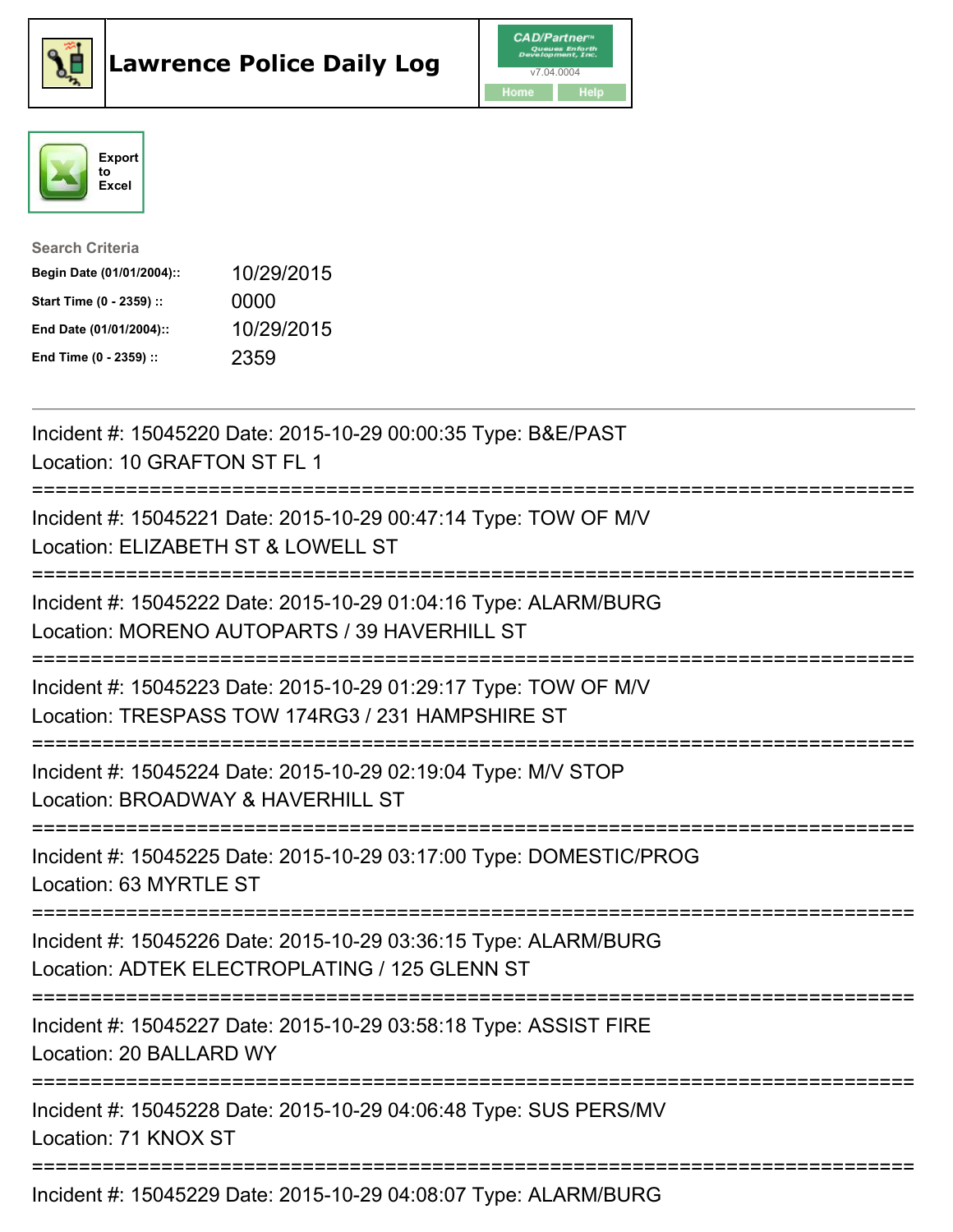





| <b>Search Criteria</b>    |            |
|---------------------------|------------|
| Begin Date (01/01/2004):: | 10/29/2015 |
| Start Time (0 - 2359) ::  | 0000       |
| End Date (01/01/2004)::   | 10/29/2015 |
| End Time (0 - 2359) ::    | 2359       |

| Incident #: 15045220 Date: 2015-10-29 00:00:35 Type: B&E/PAST<br>Location: 10 GRAFTON ST FL 1                                                                                       |
|-------------------------------------------------------------------------------------------------------------------------------------------------------------------------------------|
| Incident #: 15045221 Date: 2015-10-29 00:47:14 Type: TOW OF M/V<br>Location: ELIZABETH ST & LOWELL ST<br>-----------                                                                |
| Incident #: 15045222 Date: 2015-10-29 01:04:16 Type: ALARM/BURG<br>Location: MORENO AUTOPARTS / 39 HAVERHILL ST                                                                     |
| Incident #: 15045223 Date: 2015-10-29 01:29:17 Type: TOW OF M/V<br>Location: TRESPASS TOW 174RG3 / 231 HAMPSHIRE ST<br>============================<br>============================ |
| Incident #: 15045224 Date: 2015-10-29 02:19:04 Type: M/V STOP<br>Location: BROADWAY & HAVERHILL ST                                                                                  |
| Incident #: 15045225 Date: 2015-10-29 03:17:00 Type: DOMESTIC/PROG<br>Location: 63 MYRTLE ST                                                                                        |
| Incident #: 15045226 Date: 2015-10-29 03:36:15 Type: ALARM/BURG<br>Location: ADTEK ELECTROPLATING / 125 GLENN ST                                                                    |
| Incident #: 15045227 Date: 2015-10-29 03:58:18 Type: ASSIST FIRE<br>Location: 20 BALLARD WY                                                                                         |
| ------------------<br>Incident #: 15045228 Date: 2015-10-29 04:06:48 Type: SUS PERS/MV<br>Location: 71 KNOX ST                                                                      |
| Incident #: 15045229 Date: 2015-10-29 04:08:07 Type: ALARM/BURG                                                                                                                     |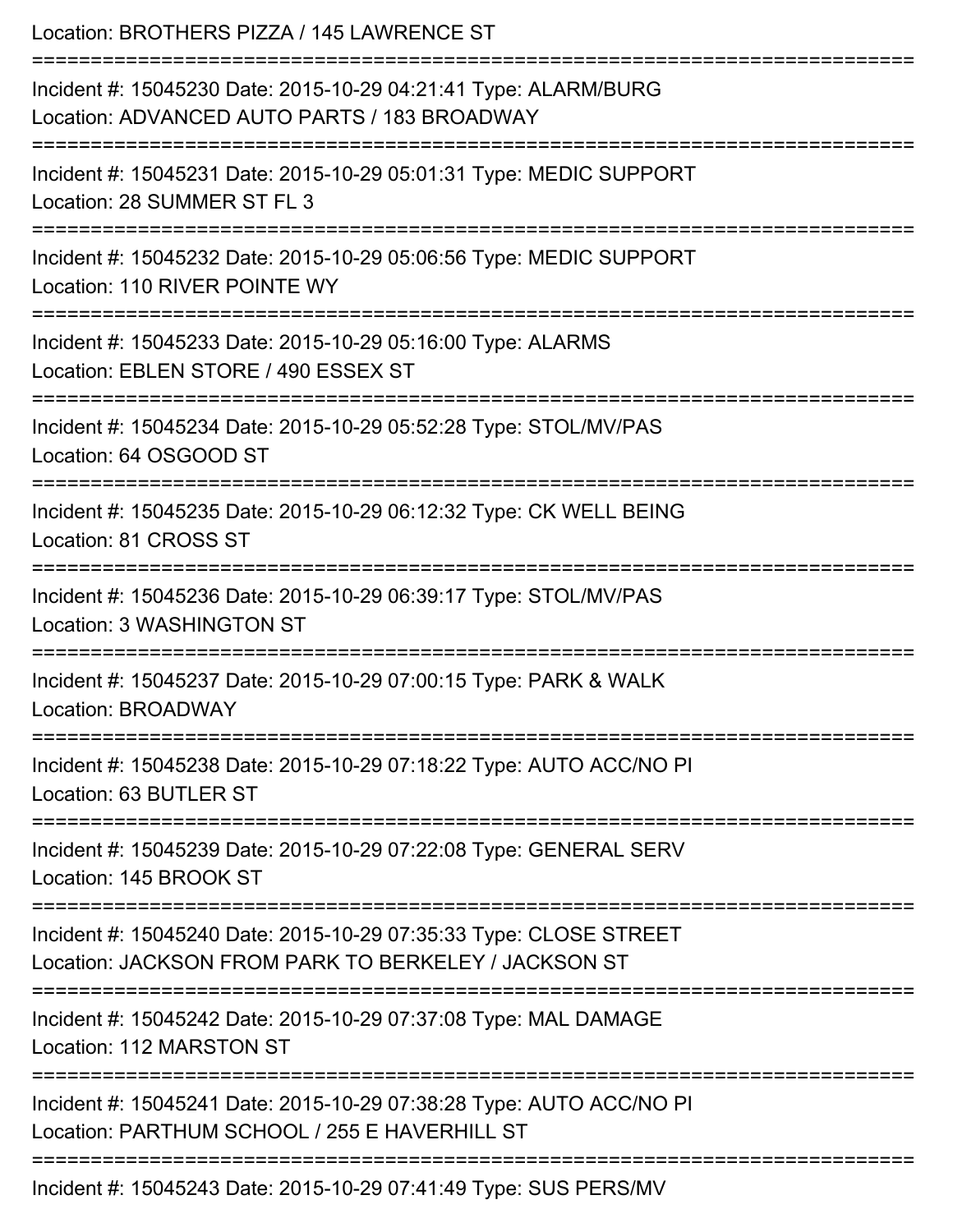| Location: BROTHERS PIZZA / 145 LAWRENCE ST                                                                                                 |
|--------------------------------------------------------------------------------------------------------------------------------------------|
| Incident #: 15045230 Date: 2015-10-29 04:21:41 Type: ALARM/BURG<br>Location: ADVANCED AUTO PARTS / 183 BROADWAY<br>======================= |
| Incident #: 15045231 Date: 2015-10-29 05:01:31 Type: MEDIC SUPPORT<br>Location: 28 SUMMER ST FL 3                                          |
| Incident #: 15045232 Date: 2015-10-29 05:06:56 Type: MEDIC SUPPORT<br>Location: 110 RIVER POINTE WY                                        |
| Incident #: 15045233 Date: 2015-10-29 05:16:00 Type: ALARMS<br>Location: EBLEN STORE / 490 ESSEX ST                                        |
| Incident #: 15045234 Date: 2015-10-29 05:52:28 Type: STOL/MV/PAS<br>Location: 64 OSGOOD ST                                                 |
| Incident #: 15045235 Date: 2015-10-29 06:12:32 Type: CK WELL BEING<br>Location: 81 CROSS ST                                                |
| Incident #: 15045236 Date: 2015-10-29 06:39:17 Type: STOL/MV/PAS<br>Location: 3 WASHINGTON ST                                              |
| Incident #: 15045237 Date: 2015-10-29 07:00:15 Type: PARK & WALK<br>Location: BROADWAY                                                     |
| Incident #: 15045238 Date: 2015-10-29 07:18:22 Type: AUTO ACC/NO PI<br>Location: 63 BUTLER ST                                              |
| Incident #: 15045239 Date: 2015-10-29 07:22:08 Type: GENERAL SERV<br>Location: 145 BROOK ST                                                |
| Incident #: 15045240 Date: 2015-10-29 07:35:33 Type: CLOSE STREET<br>Location: JACKSON FROM PARK TO BERKELEY / JACKSON ST                  |
| Incident #: 15045242 Date: 2015-10-29 07:37:08 Type: MAL DAMAGE<br>Location: 112 MARSTON ST                                                |
| Incident #: 15045241 Date: 2015-10-29 07:38:28 Type: AUTO ACC/NO PI<br>Location: PARTHUM SCHOOL / 255 E HAVERHILL ST                       |
| Incident #: 15045243 Date: 2015-10-29 07:41:49 Type: SUS PERS/MV                                                                           |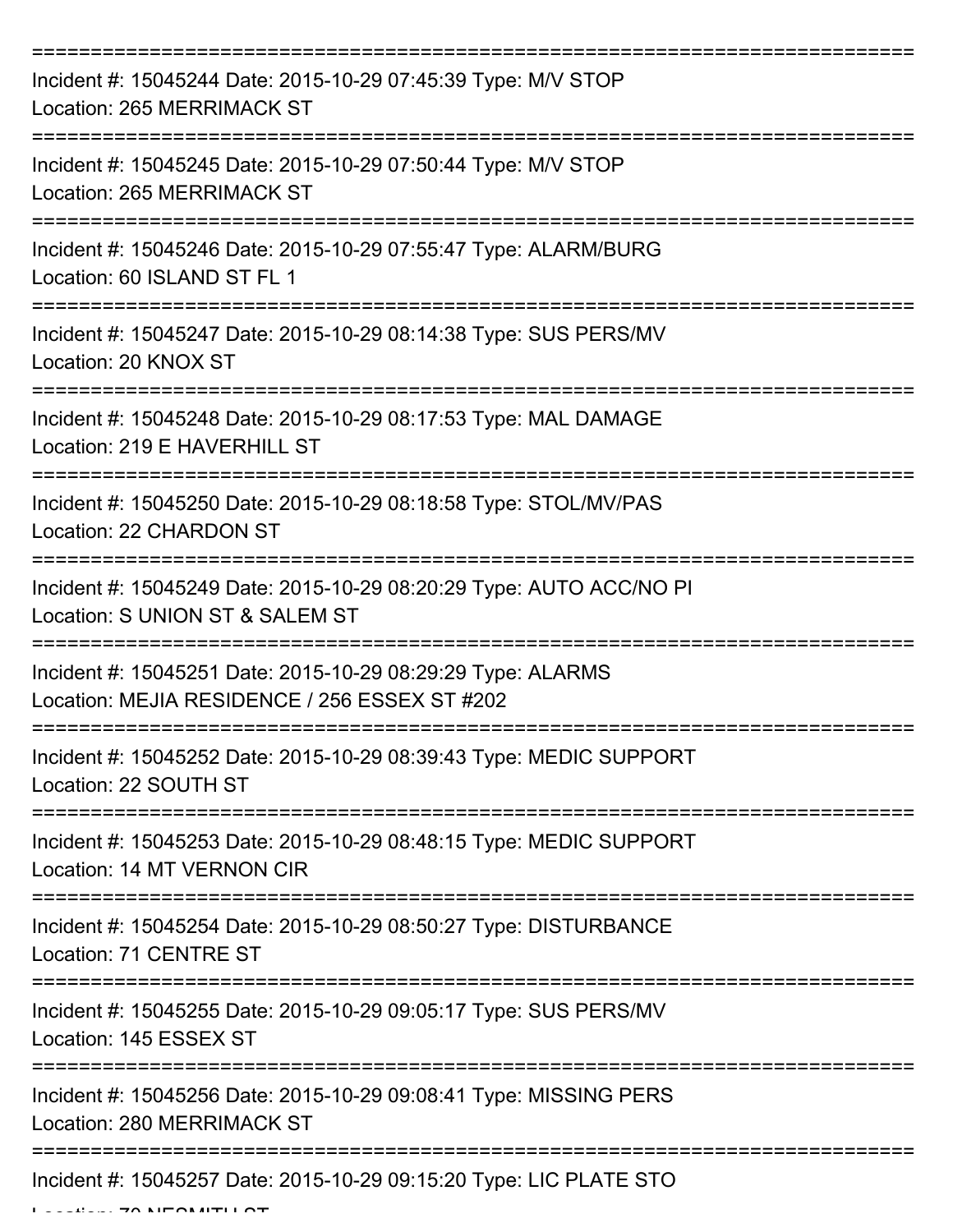| Incident #: 15045244 Date: 2015-10-29 07:45:39 Type: M/V STOP<br><b>Location: 265 MERRIMACK ST</b>           |
|--------------------------------------------------------------------------------------------------------------|
| Incident #: 15045245 Date: 2015-10-29 07:50:44 Type: M/V STOP<br>Location: 265 MERRIMACK ST                  |
| Incident #: 15045246 Date: 2015-10-29 07:55:47 Type: ALARM/BURG<br>Location: 60 ISLAND ST FL 1               |
| Incident #: 15045247 Date: 2015-10-29 08:14:38 Type: SUS PERS/MV<br>Location: 20 KNOX ST                     |
| Incident #: 15045248 Date: 2015-10-29 08:17:53 Type: MAL DAMAGE<br>Location: 219 E HAVERHILL ST              |
| Incident #: 15045250 Date: 2015-10-29 08:18:58 Type: STOL/MV/PAS<br>Location: 22 CHARDON ST                  |
| Incident #: 15045249 Date: 2015-10-29 08:20:29 Type: AUTO ACC/NO PI<br>Location: S UNION ST & SALEM ST       |
| Incident #: 15045251 Date: 2015-10-29 08:29:29 Type: ALARMS<br>Location: MEJIA RESIDENCE / 256 ESSEX ST #202 |
| Incident #: 15045252 Date: 2015-10-29 08:39:43 Type: MEDIC SUPPORT<br>Location: 22 SOUTH ST                  |
| Incident #: 15045253 Date: 2015-10-29 08:48:15 Type: MEDIC SUPPORT<br>Location: 14 MT VERNON CIR             |
| Incident #: 15045254 Date: 2015-10-29 08:50:27 Type: DISTURBANCE<br>Location: 71 CENTRE ST                   |
| Incident #: 15045255 Date: 2015-10-29 09:05:17 Type: SUS PERS/MV<br>Location: 145 ESSEX ST                   |
| Incident #: 15045256 Date: 2015-10-29 09:08:41 Type: MISSING PERS<br>Location: 280 MERRIMACK ST              |
| Incident #: 15045257 Date: 2015-10-29 09:15:20 Type: LIC PLATE STO                                           |

Location: 70 NESMITH ST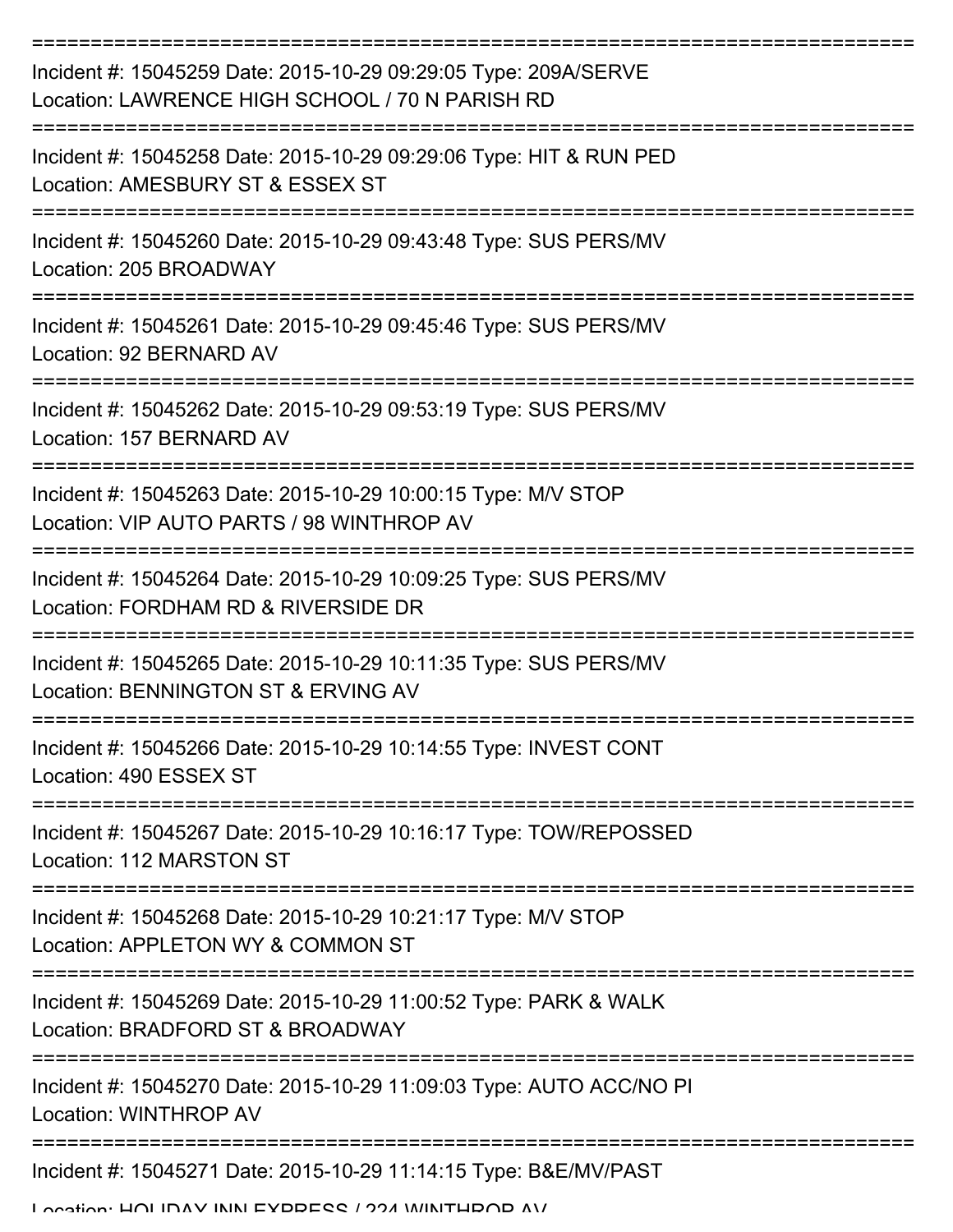| Incident #: 15045259 Date: 2015-10-29 09:29:05 Type: 209A/SERVE<br>Location: LAWRENCE HIGH SCHOOL / 70 N PARISH RD      |
|-------------------------------------------------------------------------------------------------------------------------|
| Incident #: 15045258 Date: 2015-10-29 09:29:06 Type: HIT & RUN PED<br>Location: AMESBURY ST & ESSEX ST                  |
| Incident #: 15045260 Date: 2015-10-29 09:43:48 Type: SUS PERS/MV<br>Location: 205 BROADWAY                              |
| Incident #: 15045261 Date: 2015-10-29 09:45:46 Type: SUS PERS/MV<br>Location: 92 BERNARD AV                             |
| Incident #: 15045262 Date: 2015-10-29 09:53:19 Type: SUS PERS/MV<br>Location: 157 BERNARD AV                            |
| Incident #: 15045263 Date: 2015-10-29 10:00:15 Type: M/V STOP<br>Location: VIP AUTO PARTS / 98 WINTHROP AV              |
| Incident #: 15045264 Date: 2015-10-29 10:09:25 Type: SUS PERS/MV<br>Location: FORDHAM RD & RIVERSIDE DR                 |
| Incident #: 15045265 Date: 2015-10-29 10:11:35 Type: SUS PERS/MV<br>Location: BENNINGTON ST & ERVING AV                 |
| Incident #: 15045266 Date: 2015-10-29 10:14:55 Type: INVEST CONT<br>Location: 490 ESSEX ST                              |
| ====================<br>Incident #: 15045267 Date: 2015-10-29 10:16:17 Type: TOW/REPOSSED<br>Location: 112 MARSTON ST   |
| Incident #: 15045268 Date: 2015-10-29 10:21:17 Type: M/V STOP<br>Location: APPLETON WY & COMMON ST                      |
| Incident #: 15045269 Date: 2015-10-29 11:00:52 Type: PARK & WALK<br>Location: BRADFORD ST & BROADWAY                    |
| Incident #: 15045270 Date: 2015-10-29 11:09:03 Type: AUTO ACC/NO PI<br>Location: WINTHROP AV                            |
| Incident #: 15045271 Date: 2015-10-29 11:14:15 Type: B&E/MV/PAST<br>I occion: HOI IDAV INNI EYDDECC / ?? A WINITHDOD AV |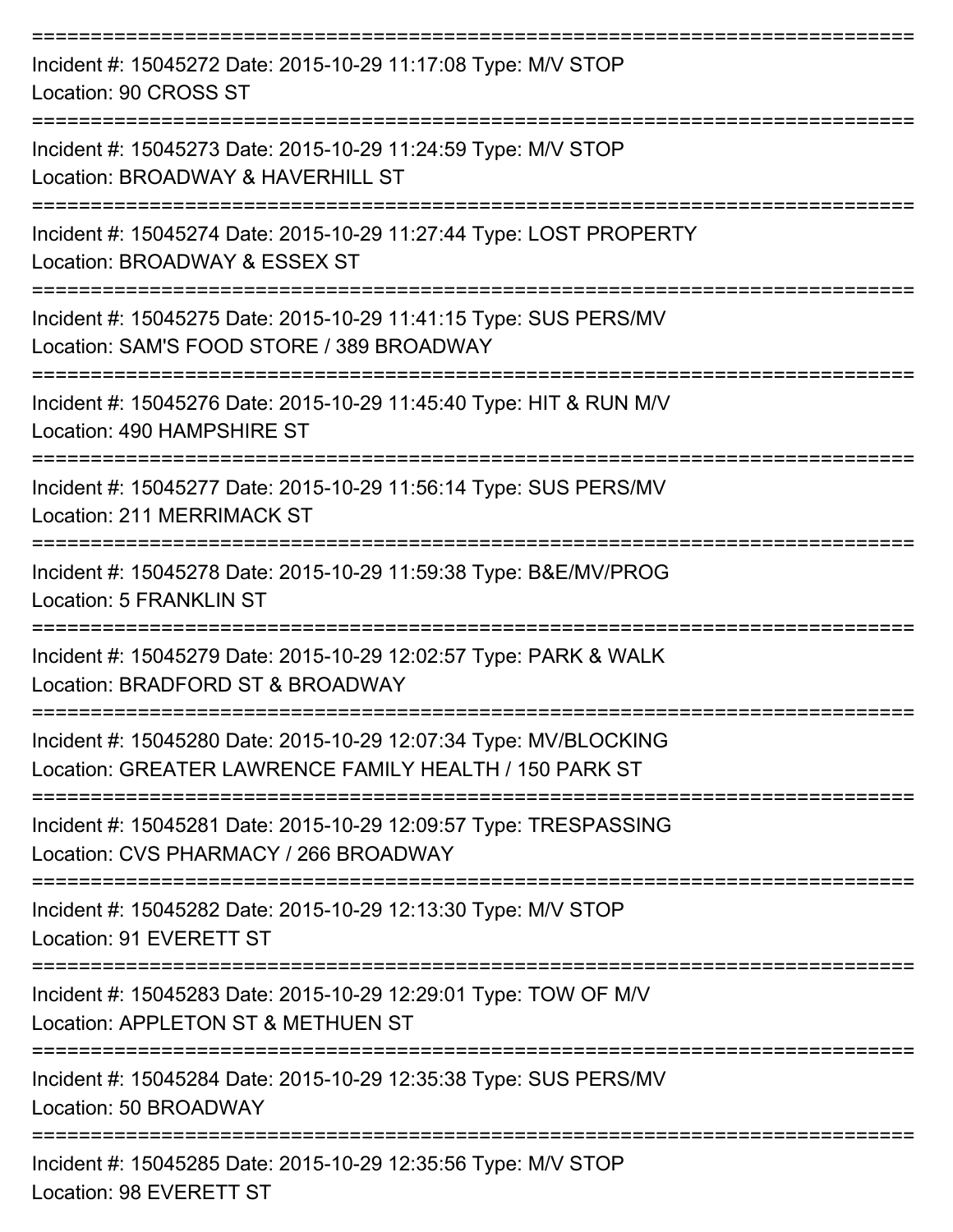| Incident #: 15045272 Date: 2015-10-29 11:17:08 Type: M/V STOP<br>Location: 90 CROSS ST                                     |
|----------------------------------------------------------------------------------------------------------------------------|
| Incident #: 15045273 Date: 2015-10-29 11:24:59 Type: M/V STOP<br>Location: BROADWAY & HAVERHILL ST                         |
| Incident #: 15045274 Date: 2015-10-29 11:27:44 Type: LOST PROPERTY<br>Location: BROADWAY & ESSEX ST                        |
| Incident #: 15045275 Date: 2015-10-29 11:41:15 Type: SUS PERS/MV<br>Location: SAM'S FOOD STORE / 389 BROADWAY              |
| Incident #: 15045276 Date: 2015-10-29 11:45:40 Type: HIT & RUN M/V<br>Location: 490 HAMPSHIRE ST                           |
| Incident #: 15045277 Date: 2015-10-29 11:56:14 Type: SUS PERS/MV<br>Location: 211 MERRIMACK ST                             |
| Incident #: 15045278 Date: 2015-10-29 11:59:38 Type: B&E/MV/PROG<br><b>Location: 5 FRANKLIN ST</b>                         |
| Incident #: 15045279 Date: 2015-10-29 12:02:57 Type: PARK & WALK<br>Location: BRADFORD ST & BROADWAY                       |
| Incident #: 15045280 Date: 2015-10-29 12:07:34 Type: MV/BLOCKING<br>Location: GREATER LAWRENCE FAMILY HEALTH / 150 PARK ST |
| Incident #: 15045281 Date: 2015-10-29 12:09:57 Type: TRESPASSING<br>Location: CVS PHARMACY / 266 BROADWAY                  |
| Incident #: 15045282 Date: 2015-10-29 12:13:30 Type: M/V STOP<br>Location: 91 EVERETT ST                                   |
| Incident #: 15045283 Date: 2015-10-29 12:29:01 Type: TOW OF M/V<br>Location: APPLETON ST & METHUEN ST                      |
| Incident #: 15045284 Date: 2015-10-29 12:35:38 Type: SUS PERS/MV<br>Location: 50 BROADWAY                                  |
| Incident #: 15045285 Date: 2015-10-29 12:35:56 Type: M/V STOP<br>Location: 98 EVERETT ST                                   |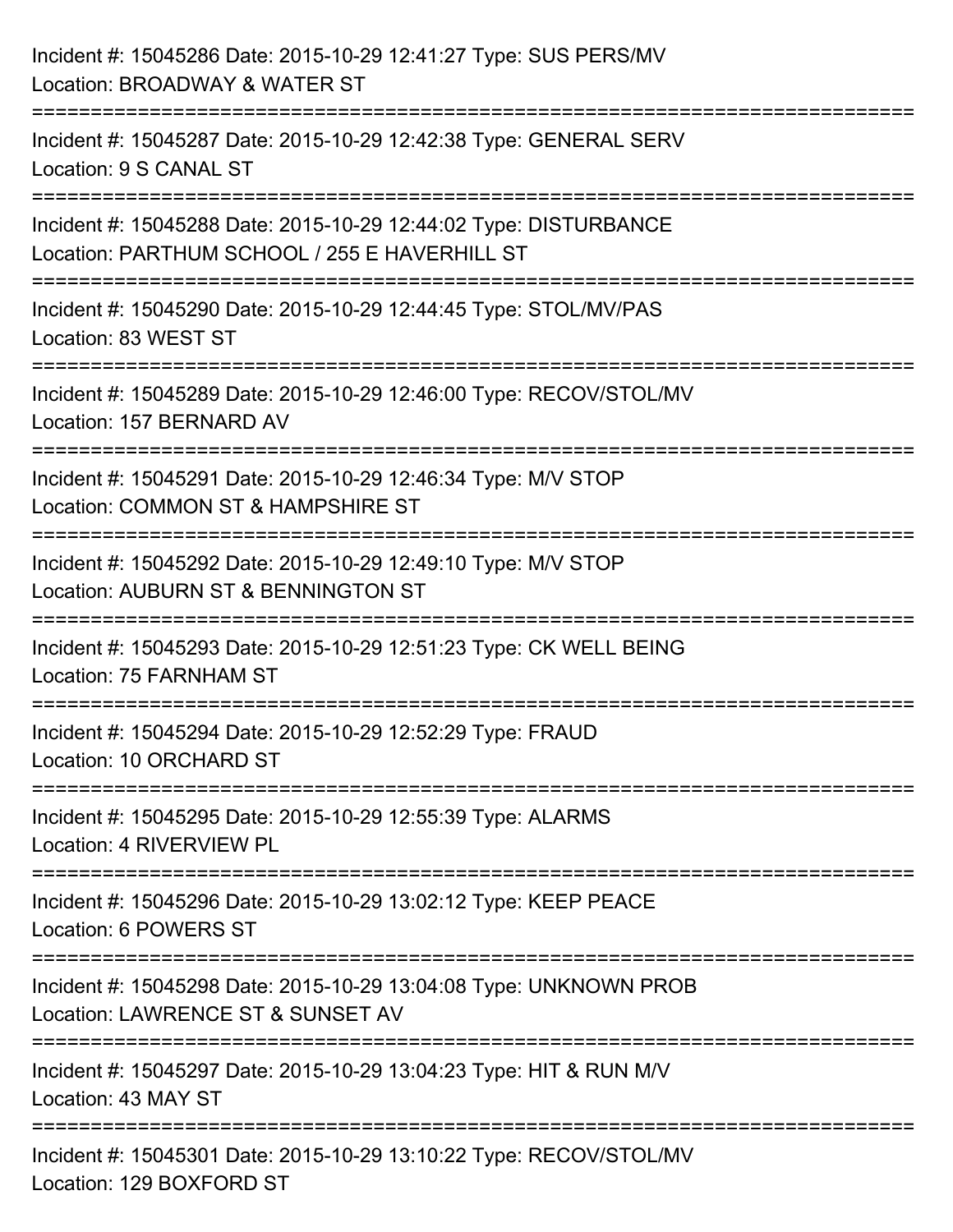| Incident #: 15045286 Date: 2015-10-29 12:41:27 Type: SUS PERS/MV<br>Location: BROADWAY & WATER ST                             |
|-------------------------------------------------------------------------------------------------------------------------------|
| Incident #: 15045287 Date: 2015-10-29 12:42:38 Type: GENERAL SERV<br>Location: 9 S CANAL ST                                   |
| Incident #: 15045288 Date: 2015-10-29 12:44:02 Type: DISTURBANCE<br>Location: PARTHUM SCHOOL / 255 E HAVERHILL ST             |
| =====================<br>Incident #: 15045290 Date: 2015-10-29 12:44:45 Type: STOL/MV/PAS<br>Location: 83 WEST ST             |
| Incident #: 15045289 Date: 2015-10-29 12:46:00 Type: RECOV/STOL/MV<br>Location: 157 BERNARD AV                                |
| Incident #: 15045291 Date: 2015-10-29 12:46:34 Type: M/V STOP<br>Location: COMMON ST & HAMPSHIRE ST                           |
| =====================<br>Incident #: 15045292 Date: 2015-10-29 12:49:10 Type: M/V STOP<br>Location: AUBURN ST & BENNINGTON ST |
| Incident #: 15045293 Date: 2015-10-29 12:51:23 Type: CK WELL BEING<br>Location: 75 FARNHAM ST                                 |
| Incident #: 15045294 Date: 2015-10-29 12:52:29 Type: FRAUD<br>Location: 10 ORCHARD ST                                         |
| Incident #: 15045295 Date: 2015-10-29 12:55:39 Type: ALARMS<br>Location: 4 RIVERVIEW PL                                       |
| Incident #: 15045296 Date: 2015-10-29 13:02:12 Type: KEEP PEACE<br>Location: 6 POWERS ST                                      |
| Incident #: 15045298 Date: 2015-10-29 13:04:08 Type: UNKNOWN PROB<br>Location: LAWRENCE ST & SUNSET AV                        |
| Incident #: 15045297 Date: 2015-10-29 13:04:23 Type: HIT & RUN M/V<br>Location: 43 MAY ST                                     |
| Incident #: 15045301 Date: 2015-10-29 13:10:22 Type: RECOV/STOL/MV<br>Location: 129 BOXFORD ST                                |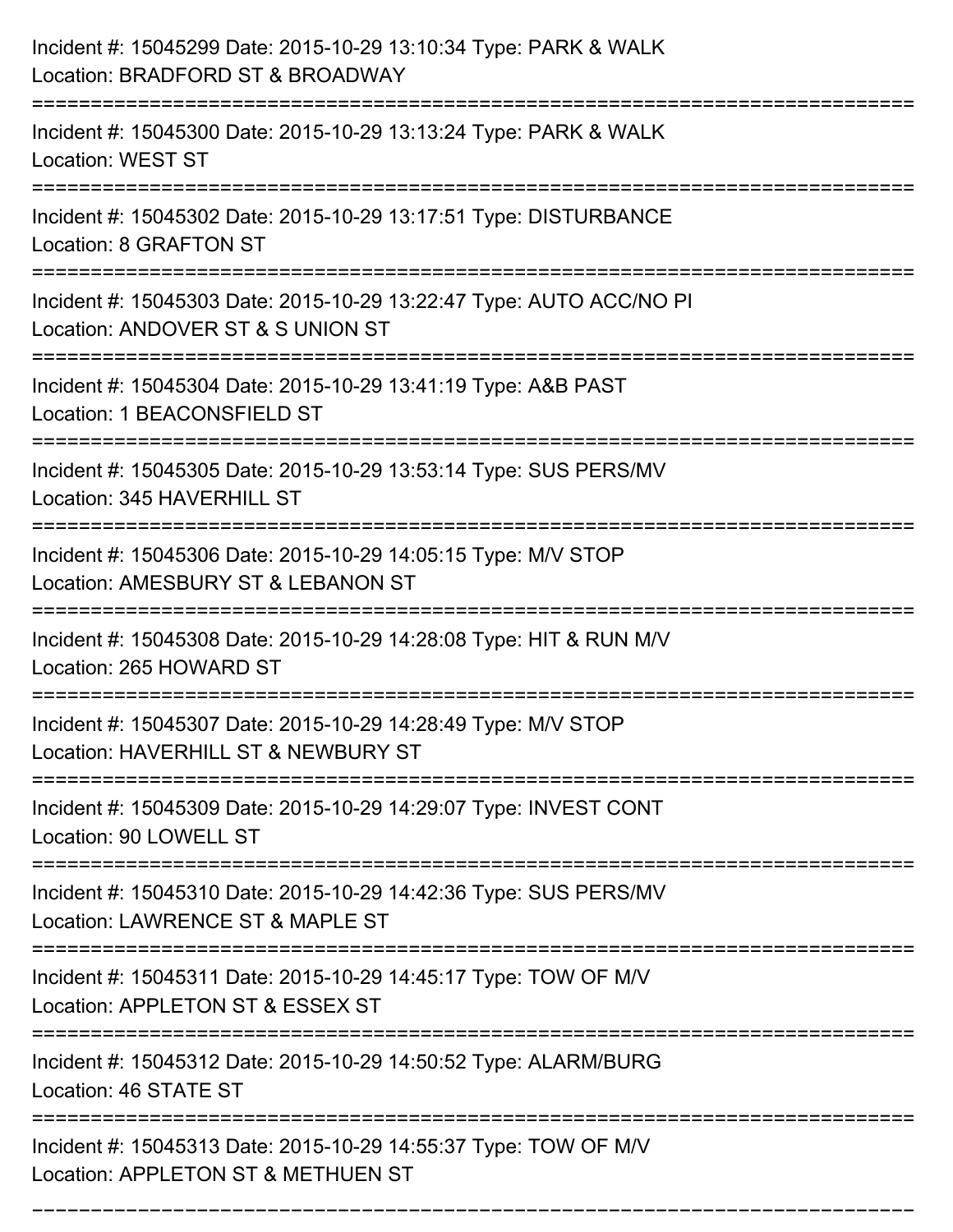| Incident #: 15045299 Date: 2015-10-29 13:10:34 Type: PARK & WALK<br>Location: BRADFORD ST & BROADWAY                                   |
|----------------------------------------------------------------------------------------------------------------------------------------|
| Incident #: 15045300 Date: 2015-10-29 13:13:24 Type: PARK & WALK<br><b>Location: WEST ST</b>                                           |
| Incident #: 15045302 Date: 2015-10-29 13:17:51 Type: DISTURBANCE<br>Location: 8 GRAFTON ST                                             |
| Incident #: 15045303 Date: 2015-10-29 13:22:47 Type: AUTO ACC/NO PI<br>Location: ANDOVER ST & S UNION ST                               |
| Incident #: 15045304 Date: 2015-10-29 13:41:19 Type: A&B PAST<br>Location: 1 BEACONSFIELD ST                                           |
| Incident #: 15045305 Date: 2015-10-29 13:53:14 Type: SUS PERS/MV<br>Location: 345 HAVERHILL ST                                         |
| Incident #: 15045306 Date: 2015-10-29 14:05:15 Type: M/V STOP<br>Location: AMESBURY ST & LEBANON ST                                    |
| Incident #: 15045308 Date: 2015-10-29 14:28:08 Type: HIT & RUN M/V<br>Location: 265 HOWARD ST                                          |
| Incident #: 15045307 Date: 2015-10-29 14:28:49 Type: M/V STOP<br>Location: HAVERHILL ST & NEWBURY ST                                   |
| Incident #: 15045309 Date: 2015-10-29 14:29:07 Type: INVEST CONT<br>Location: 90 LOWELL ST                                             |
| ------------------------------<br>Incident #: 15045310 Date: 2015-10-29 14:42:36 Type: SUS PERS/MV<br>Location: LAWRENCE ST & MAPLE ST |
| Incident #: 15045311 Date: 2015-10-29 14:45:17 Type: TOW OF M/V<br>Location: APPLETON ST & ESSEX ST                                    |
| Incident #: 15045312 Date: 2015-10-29 14:50:52 Type: ALARM/BURG<br>Location: 46 STATE ST                                               |
| Incident #: 15045313 Date: 2015-10-29 14:55:37 Type: TOW OF M/V<br>Location: APPLETON ST & METHUEN ST                                  |

===========================================================================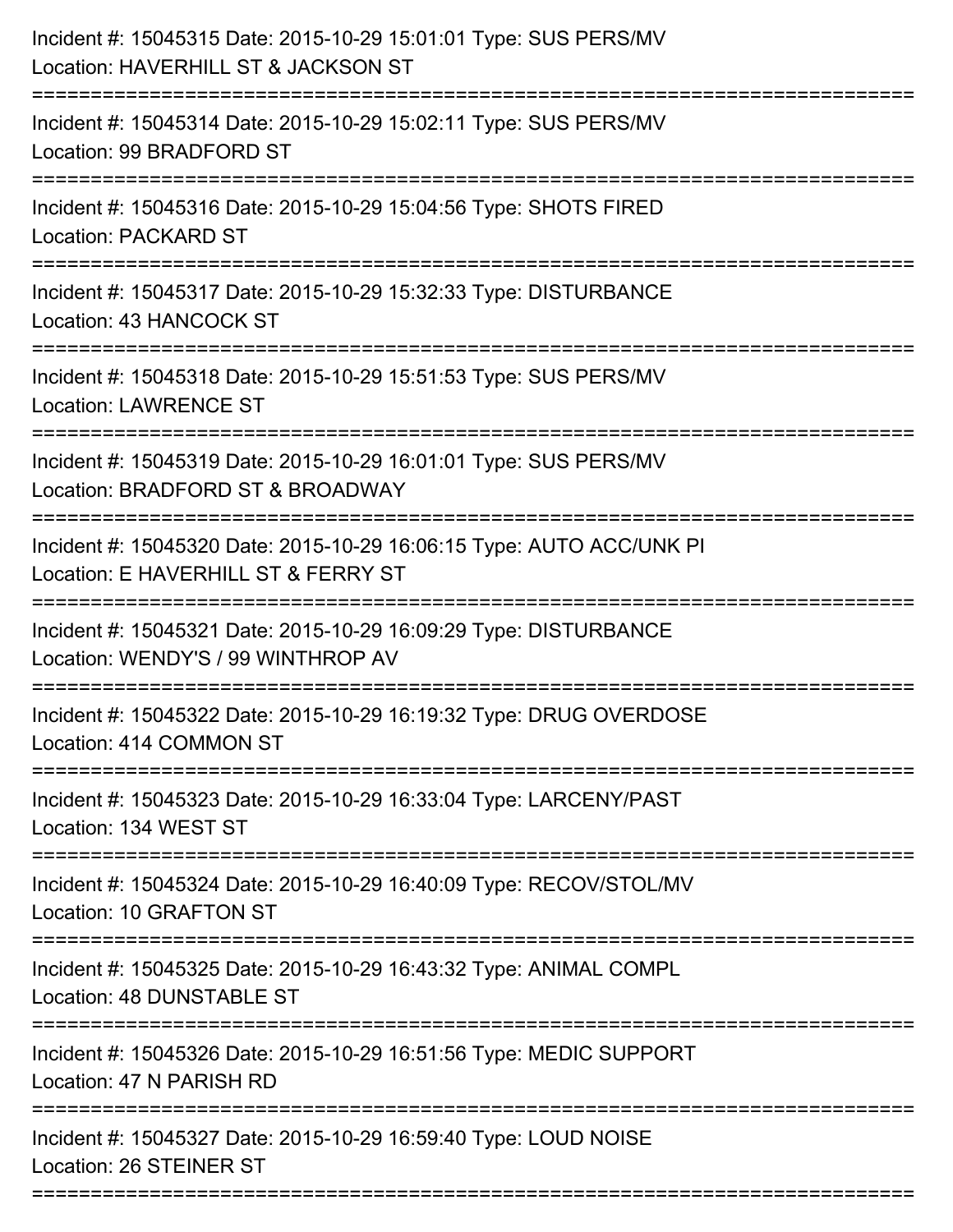| Incident #: 15045315 Date: 2015-10-29 15:01:01 Type: SUS PERS/MV<br>Location: HAVERHILL ST & JACKSON ST                                                      |
|--------------------------------------------------------------------------------------------------------------------------------------------------------------|
| Incident #: 15045314 Date: 2015-10-29 15:02:11 Type: SUS PERS/MV<br>Location: 99 BRADFORD ST                                                                 |
| Incident #: 15045316 Date: 2015-10-29 15:04:56 Type: SHOTS FIRED<br><b>Location: PACKARD ST</b>                                                              |
| Incident #: 15045317 Date: 2015-10-29 15:32:33 Type: DISTURBANCE<br>Location: 43 HANCOCK ST                                                                  |
| Incident #: 15045318 Date: 2015-10-29 15:51:53 Type: SUS PERS/MV<br><b>Location: LAWRENCE ST</b><br>-----------------------<br>----------------------------- |
| Incident #: 15045319 Date: 2015-10-29 16:01:01 Type: SUS PERS/MV<br>Location: BRADFORD ST & BROADWAY                                                         |
| Incident #: 15045320 Date: 2015-10-29 16:06:15 Type: AUTO ACC/UNK PI<br>Location: E HAVERHILL ST & FERRY ST<br>=============                                 |
| Incident #: 15045321 Date: 2015-10-29 16:09:29 Type: DISTURBANCE<br>Location: WENDY'S / 99 WINTHROP AV                                                       |
| Incident #: 15045322 Date: 2015-10-29 16:19:32 Type: DRUG OVERDOSE<br>Location: 414 COMMON ST                                                                |
| Incident #: 15045323 Date: 2015-10-29 16:33:04 Type: LARCENY/PAST<br>Location: 134 WEST ST                                                                   |
| Incident #: 15045324 Date: 2015-10-29 16:40:09 Type: RECOV/STOL/MV<br>Location: 10 GRAFTON ST                                                                |
| Incident #: 15045325 Date: 2015-10-29 16:43:32 Type: ANIMAL COMPL<br>Location: 48 DUNSTABLE ST                                                               |
| Incident #: 15045326 Date: 2015-10-29 16:51:56 Type: MEDIC SUPPORT<br>Location: 47 N PARISH RD                                                               |
| Incident #: 15045327 Date: 2015-10-29 16:59:40 Type: LOUD NOISE<br>Location: 26 STEINER ST                                                                   |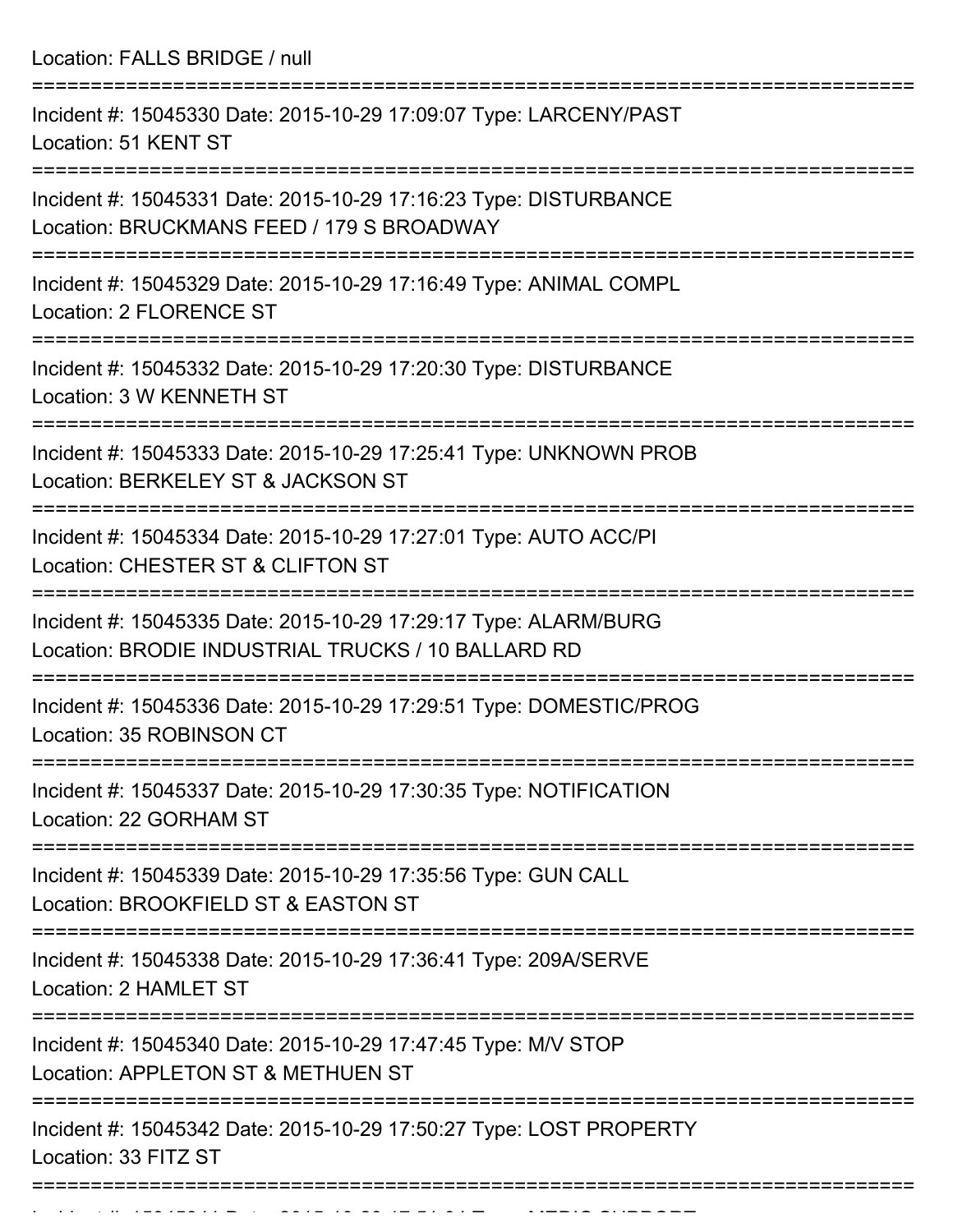| Location: FALLS BRIDGE / null                                                                                         |
|-----------------------------------------------------------------------------------------------------------------------|
| Incident #: 15045330 Date: 2015-10-29 17:09:07 Type: LARCENY/PAST<br>Location: 51 KENT ST                             |
| Incident #: 15045331 Date: 2015-10-29 17:16:23 Type: DISTURBANCE<br>Location: BRUCKMANS FEED / 179 S BROADWAY         |
| Incident #: 15045329 Date: 2015-10-29 17:16:49 Type: ANIMAL COMPL<br><b>Location: 2 FLORENCE ST</b>                   |
| Incident #: 15045332 Date: 2015-10-29 17:20:30 Type: DISTURBANCE<br>Location: 3 W KENNETH ST                          |
| Incident #: 15045333 Date: 2015-10-29 17:25:41 Type: UNKNOWN PROB<br>Location: BERKELEY ST & JACKSON ST               |
| Incident #: 15045334 Date: 2015-10-29 17:27:01 Type: AUTO ACC/PI<br>Location: CHESTER ST & CLIFTON ST                 |
| Incident #: 15045335 Date: 2015-10-29 17:29:17 Type: ALARM/BURG<br>Location: BRODIE INDUSTRIAL TRUCKS / 10 BALLARD RD |
| Incident #: 15045336 Date: 2015-10-29 17:29:51 Type: DOMESTIC/PROG<br>Location: 35 ROBINSON CT                        |
| Incident #: 15045337 Date: 2015-10-29 17:30:35 Type: NOTIFICATION<br>Location: 22 GORHAM ST                           |
| Incident #: 15045339 Date: 2015-10-29 17:35:56 Type: GUN CALL<br>Location: BROOKFIELD ST & EASTON ST                  |
| Incident #: 15045338 Date: 2015-10-29 17:36:41 Type: 209A/SERVE<br>Location: 2 HAMLET ST                              |
| Incident #: 15045340 Date: 2015-10-29 17:47:45 Type: M/V STOP<br>Location: APPLETON ST & METHUEN ST                   |
| Incident #: 15045342 Date: 2015-10-29 17:50:27 Type: LOST PROPERTY<br>Location: 33 FITZ ST                            |
|                                                                                                                       |

Incident #: 15045341 Date: 2015 10 29 17:51:04 Type: MEDIC SUPPORT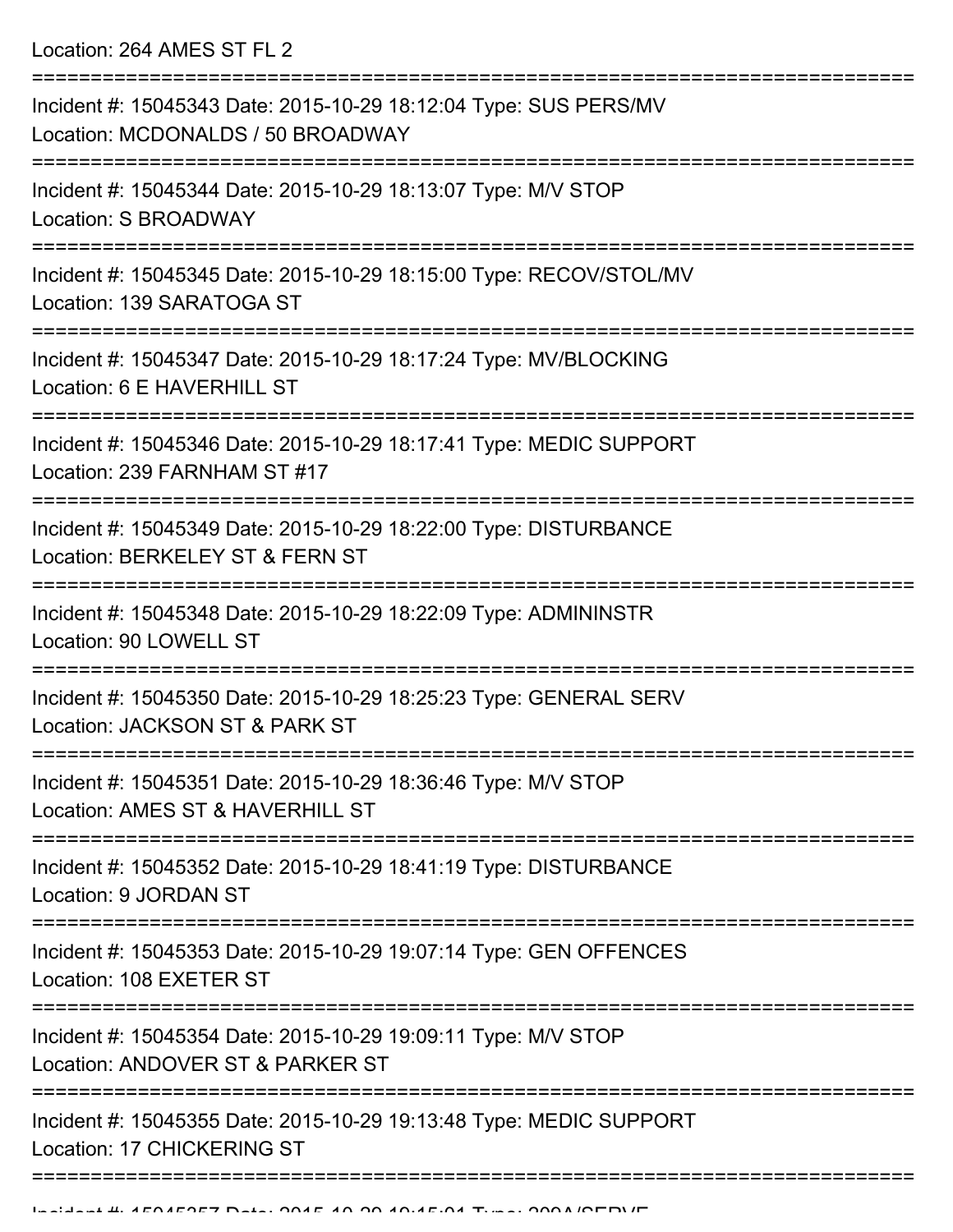Location: 264 AMES ST FL 2

| Incident #: 15045343 Date: 2015-10-29 18:12:04 Type: SUS PERS/MV<br>Location: MCDONALDS / 50 BROADWAY                           |
|---------------------------------------------------------------------------------------------------------------------------------|
| Incident #: 15045344 Date: 2015-10-29 18:13:07 Type: M/V STOP<br>Location: S BROADWAY                                           |
| Incident #: 15045345 Date: 2015-10-29 18:15:00 Type: RECOV/STOL/MV<br>Location: 139 SARATOGA ST                                 |
| Incident #: 15045347 Date: 2015-10-29 18:17:24 Type: MV/BLOCKING<br>Location: 6 E HAVERHILL ST                                  |
| Incident #: 15045346 Date: 2015-10-29 18:17:41 Type: MEDIC SUPPORT<br>Location: 239 FARNHAM ST #17                              |
| Incident #: 15045349 Date: 2015-10-29 18:22:00 Type: DISTURBANCE<br>Location: BERKELEY ST & FERN ST                             |
| Incident #: 15045348 Date: 2015-10-29 18:22:09 Type: ADMININSTR<br>Location: 90 LOWELL ST                                       |
| Incident #: 15045350 Date: 2015-10-29 18:25:23 Type: GENERAL SERV<br>Location: JACKSON ST & PARK ST                             |
| Incident #: 15045351 Date: 2015-10-29 18:36:46 Type: M/V STOP<br>Location: AMES ST & HAVERHILL ST                               |
| Incident #: 15045352 Date: 2015-10-29 18:41:19 Type: DISTURBANCE<br>Location: 9 JORDAN ST                                       |
| ===============================<br>Incident #: 15045353 Date: 2015-10-29 19:07:14 Type: GEN OFFENCES<br>Location: 108 EXETER ST |
| Incident #: 15045354 Date: 2015-10-29 19:09:11 Type: M/V STOP<br>Location: ANDOVER ST & PARKER ST                               |
| Incident #: 15045355 Date: 2015-10-29 19:13:48 Type: MEDIC SUPPORT<br>Location: 17 CHICKERING ST                                |
|                                                                                                                                 |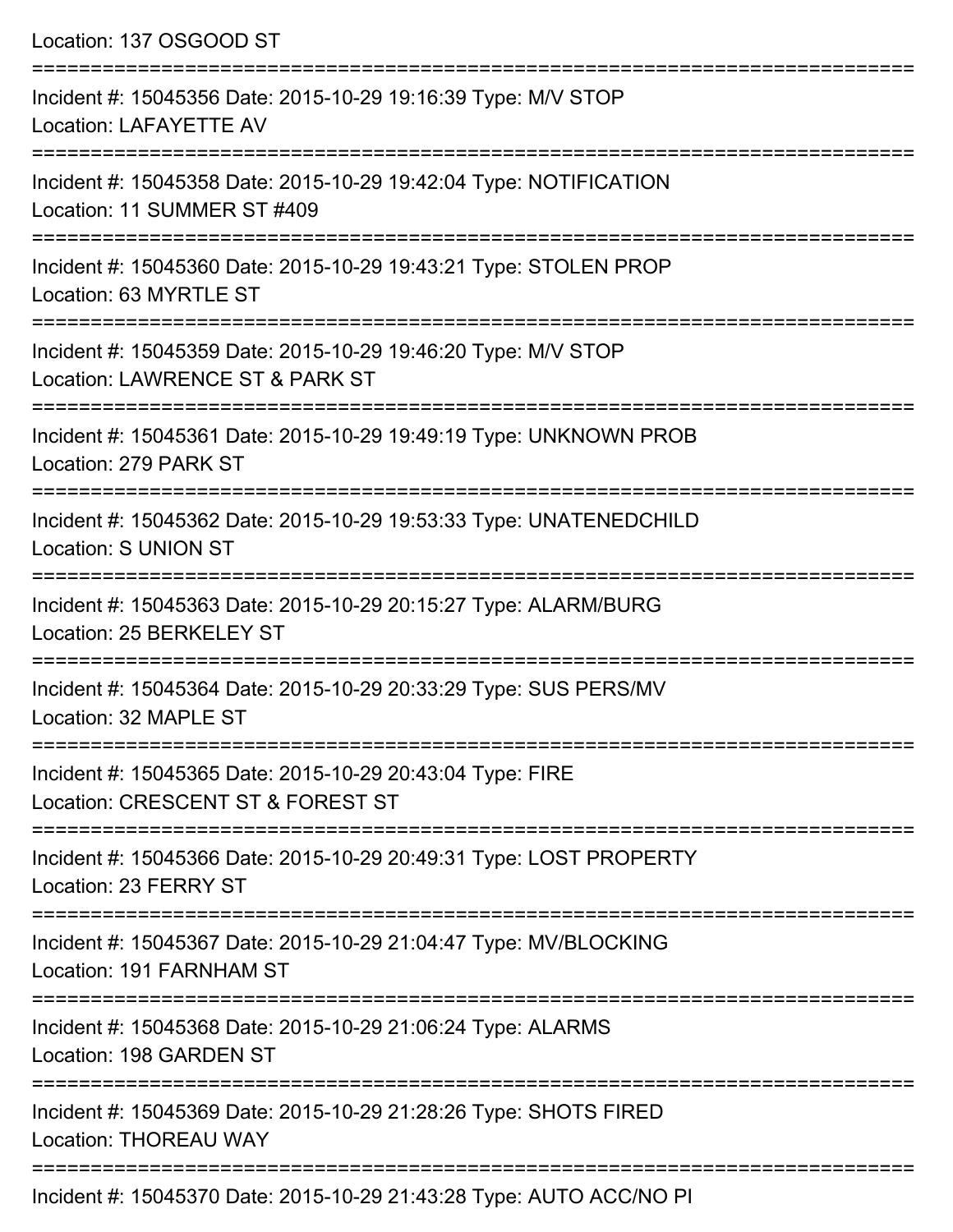| Location: 137 OSGOOD ST                                                                                      |
|--------------------------------------------------------------------------------------------------------------|
| =================<br>Incident #: 15045356 Date: 2015-10-29 19:16:39 Type: M/V STOP<br>Location: LAFAYETTE AV |
| Incident #: 15045358 Date: 2015-10-29 19:42:04 Type: NOTIFICATION<br>Location: 11 SUMMER ST #409             |
| Incident #: 15045360 Date: 2015-10-29 19:43:21 Type: STOLEN PROP<br>Location: 63 MYRTLE ST                   |
| Incident #: 15045359 Date: 2015-10-29 19:46:20 Type: M/V STOP<br>Location: LAWRENCE ST & PARK ST             |
| Incident #: 15045361 Date: 2015-10-29 19:49:19 Type: UNKNOWN PROB<br>Location: 279 PARK ST                   |
| Incident #: 15045362 Date: 2015-10-29 19:53:33 Type: UNATENEDCHILD<br><b>Location: S UNION ST</b>            |
| Incident #: 15045363 Date: 2015-10-29 20:15:27 Type: ALARM/BURG<br>Location: 25 BERKELEY ST                  |
| Incident #: 15045364 Date: 2015-10-29 20:33:29 Type: SUS PERS/MV<br>Location: 32 MAPLE ST                    |
| Incident #: 15045365 Date: 2015-10-29 20:43:04 Type: FIRE<br>Location: CRESCENT ST & FOREST ST               |
| Incident #: 15045366 Date: 2015-10-29 20:49:31 Type: LOST PROPERTY<br>Location: 23 FERRY ST                  |
| Incident #: 15045367 Date: 2015-10-29 21:04:47 Type: MV/BLOCKING<br>Location: 191 FARNHAM ST                 |
| Incident #: 15045368 Date: 2015-10-29 21:06:24 Type: ALARMS<br>Location: 198 GARDEN ST                       |
| Incident #: 15045369 Date: 2015-10-29 21:28:26 Type: SHOTS FIRED<br><b>Location: THOREAU WAY</b>             |
|                                                                                                              |

Incident #: 15045370 Date: 2015-10-29 21:43:28 Type: AUTO ACC/NO PI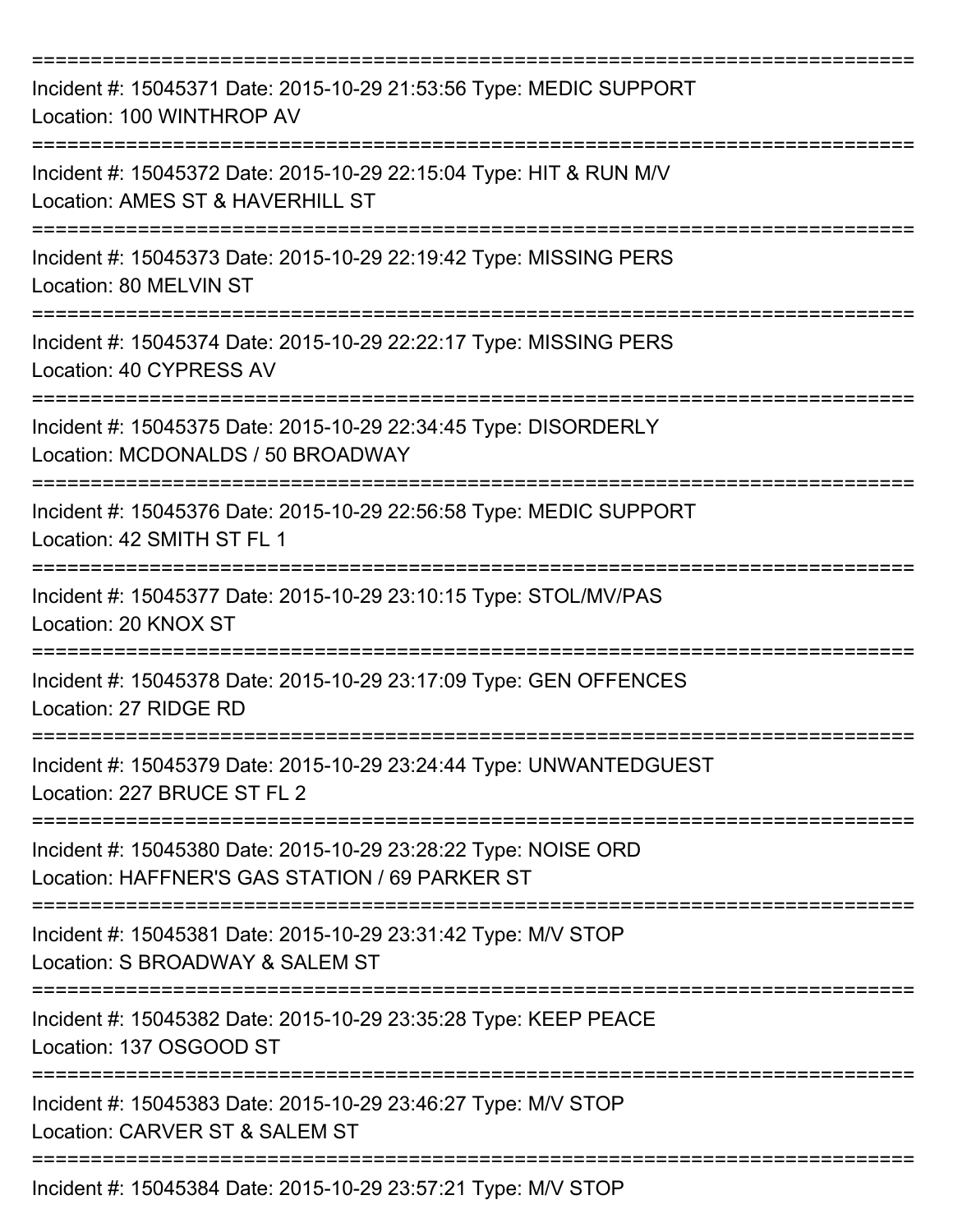| Incident #: 15045371 Date: 2015-10-29 21:53:56 Type: MEDIC SUPPORT<br>Location: 100 WINTHROP AV                     |
|---------------------------------------------------------------------------------------------------------------------|
| Incident #: 15045372 Date: 2015-10-29 22:15:04 Type: HIT & RUN M/V<br>Location: AMES ST & HAVERHILL ST              |
| Incident #: 15045373 Date: 2015-10-29 22:19:42 Type: MISSING PERS<br>Location: 80 MELVIN ST                         |
| Incident #: 15045374 Date: 2015-10-29 22:22:17 Type: MISSING PERS<br>Location: 40 CYPRESS AV<br>=================== |
| Incident #: 15045375 Date: 2015-10-29 22:34:45 Type: DISORDERLY<br>Location: MCDONALDS / 50 BROADWAY                |
| Incident #: 15045376 Date: 2015-10-29 22:56:58 Type: MEDIC SUPPORT<br>Location: 42 SMITH ST FL 1                    |
| Incident #: 15045377 Date: 2015-10-29 23:10:15 Type: STOL/MV/PAS<br>Location: 20 KNOX ST                            |
| Incident #: 15045378 Date: 2015-10-29 23:17:09 Type: GEN OFFENCES<br>Location: 27 RIDGE RD                          |
| Incident #: 15045379 Date: 2015-10-29 23:24:44 Type: UNWANTEDGUEST<br>Location: 227 BRUCE ST FL 2                   |
| Incident #: 15045380 Date: 2015-10-29 23:28:22 Type: NOISE ORD<br>Location: HAFFNER'S GAS STATION / 69 PARKER ST    |
| Incident #: 15045381 Date: 2015-10-29 23:31:42 Type: M/V STOP<br>Location: S BROADWAY & SALEM ST                    |
| Incident #: 15045382 Date: 2015-10-29 23:35:28 Type: KEEP PEACE<br>Location: 137 OSGOOD ST                          |
| Incident #: 15045383 Date: 2015-10-29 23:46:27 Type: M/V STOP<br>Location: CARVER ST & SALEM ST                     |
| Incident #: 15045384 Date: 2015-10-29 23:57:21 Type: M/V STOP                                                       |